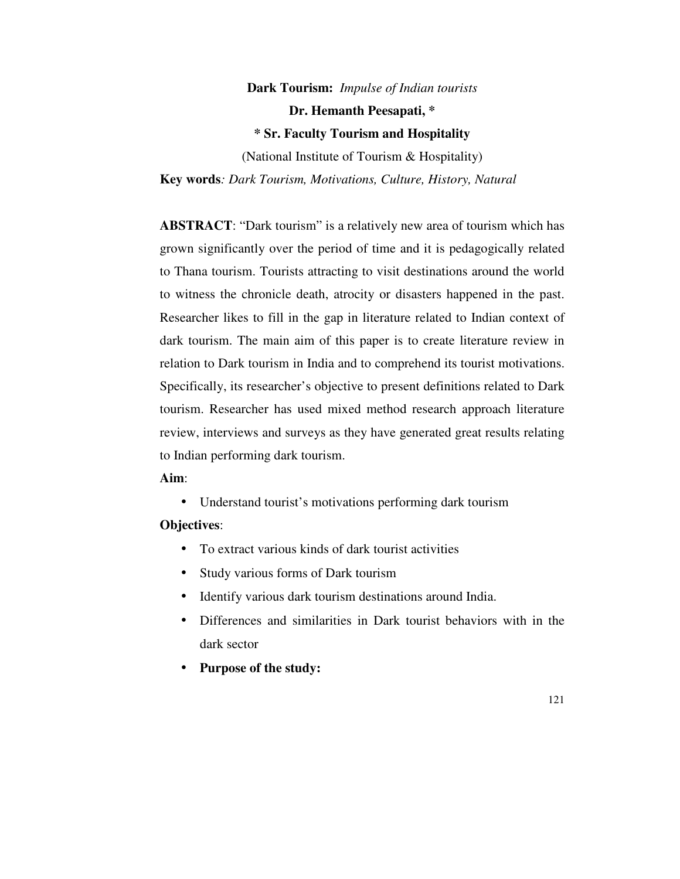# **Dark Tourism:** *Impulse of Indian tourists*

**Dr. Hemanth Peesapati, \*** 

**\* Sr. Faculty Tourism and Hospitality** 

(National Institute of Tourism & Hospitality)

**Key words***: Dark Tourism, Motivations, Culture, History, Natural* 

**ABSTRACT**: "Dark tourism" is a relatively new area of tourism which has grown significantly over the period of time and it is pedagogically related to Thana tourism. Tourists attracting to visit destinations around the world to witness the chronicle death, atrocity or disasters happened in the past. Researcher likes to fill in the gap in literature related to Indian context of dark tourism. The main aim of this paper is to create literature review in relation to Dark tourism in India and to comprehend its tourist motivations. Specifically, its researcher's objective to present definitions related to Dark tourism. Researcher has used mixed method research approach literature review, interviews and surveys as they have generated great results relating to Indian performing dark tourism.

# **Aim**:

• Understand tourist's motivations performing dark tourism

# **Objectives**:

- To extract various kinds of dark tourist activities
- Study various forms of Dark tourism
- Identify various dark tourism destinations around India.
- Differences and similarities in Dark tourist behaviors with in the dark sector
- **Purpose of the study:**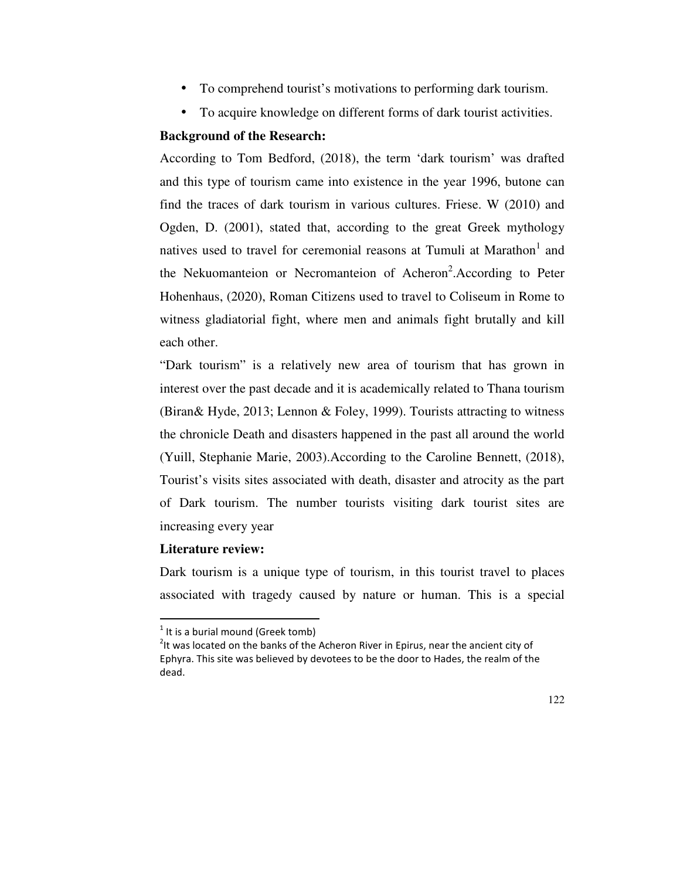- To comprehend tourist's motivations to performing dark tourism.
- To acquire knowledge on different forms of dark tourist activities.

### **Background of the Research:**

According to Tom Bedford, (2018), the term 'dark tourism' was drafted and this type of tourism came into existence in the year 1996, butone can find the traces of dark tourism in various cultures. Friese. W (2010) and Ogden, D. (2001), stated that, according to the great Greek mythology natives used to travel for ceremonial reasons at Tumuli at Marathon<sup>1</sup> and the Nekuomanteion or Necromanteion of Acheron<sup>2</sup>. According to Peter Hohenhaus, (2020), Roman Citizens used to travel to Coliseum in Rome to witness gladiatorial fight, where men and animals fight brutally and kill each other.

"Dark tourism" is a relatively new area of tourism that has grown in interest over the past decade and it is academically related to Thana tourism (Biran& Hyde, 2013; Lennon & Foley, 1999). Tourists attracting to witness the chronicle Death and disasters happened in the past all around the world (Yuill, Stephanie Marie, 2003).According to the Caroline Bennett, (2018), Tourist's visits sites associated with death, disaster and atrocity as the part of Dark tourism. The number tourists visiting dark tourist sites are increasing every year

# **Literature review:**

-

Dark tourism is a unique type of tourism, in this tourist travel to places associated with tragedy caused by nature or human. This is a special

 $<sup>1</sup>$  It is a burial mound (Greek tomb)</sup>

 $2$ It was located on the banks of the Acheron River in Epirus, near the ancient city of Ephyra. This site was believed by devotees to be the door to Hades, the realm of the dead.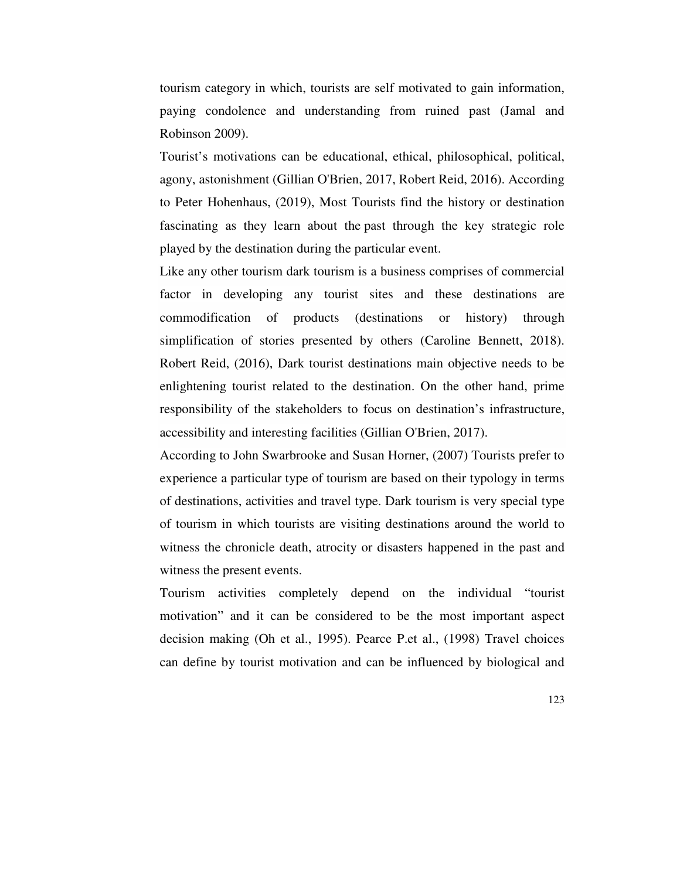tourism category in which, tourists are self motivated to gain information, paying condolence and understanding from ruined past (Jamal and Robinson 2009).

Tourist's motivations can be educational, ethical, philosophical, political, agony, astonishment (Gillian O'Brien, 2017, Robert Reid, 2016). According to Peter Hohenhaus, (2019), Most Tourists find the history or destination fascinating as they learn about the past through the key strategic role played by the destination during the particular event.

Like any other tourism dark tourism is a business comprises of commercial factor in developing any tourist sites and these destinations are commodification of products (destinations or history) through simplification of stories presented by others (Caroline Bennett, 2018). Robert Reid, (2016), Dark tourist destinations main objective needs to be enlightening tourist related to the destination. On the other hand, prime responsibility of the stakeholders to focus on destination's infrastructure, accessibility and interesting facilities (Gillian O'Brien, 2017).

According to John Swarbrooke and Susan Horner, (2007) Tourists prefer to experience a particular type of tourism are based on their typology in terms of destinations, activities and travel type. Dark tourism is very special type of tourism in which tourists are visiting destinations around the world to witness the chronicle death, atrocity or disasters happened in the past and witness the present events.

Tourism activities completely depend on the individual "tourist motivation" and it can be considered to be the most important aspect decision making (Oh et al., 1995). Pearce P.et al., (1998) Travel choices can define by tourist motivation and can be influenced by biological and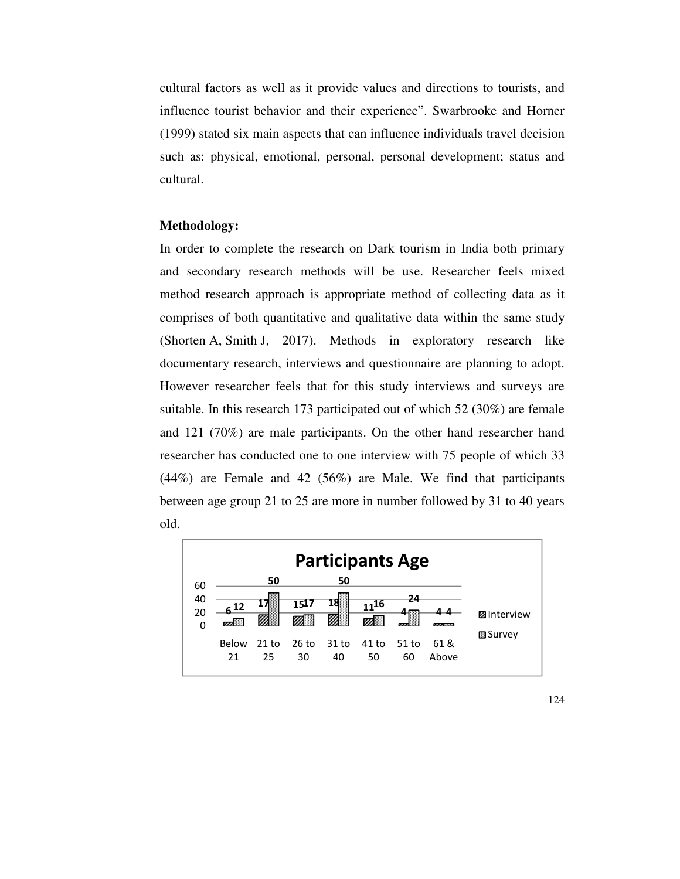cultural factors as well as it provide values and directions to tourists, and influence tourist behavior and their experience". Swarbrooke and Horner (1999) stated six main aspects that can influence individuals travel decision such as: physical, emotional, personal, personal development; status and cultural.

#### **Methodology:**

In order to complete the research on Dark tourism in India both primary and secondary research methods will be use. Researcher feels mixed method research approach is appropriate method of collecting data as it comprises of both quantitative and qualitative data within the same study (Shorten A, Smith J, 2017). Methods in exploratory research like documentary research, interviews and questionnaire are planning to adopt. However researcher feels that for this study interviews and surveys are suitable. In this research 173 participated out of which 52 (30%) are female and 121 (70%) are male participants. On the other hand researcher hand researcher has conducted one to one interview with 75 people of which 33 (44%) are Female and 42 (56%) are Male. We find that participants between age group 21 to 25 are more in number followed by 31 to 40 years old.



124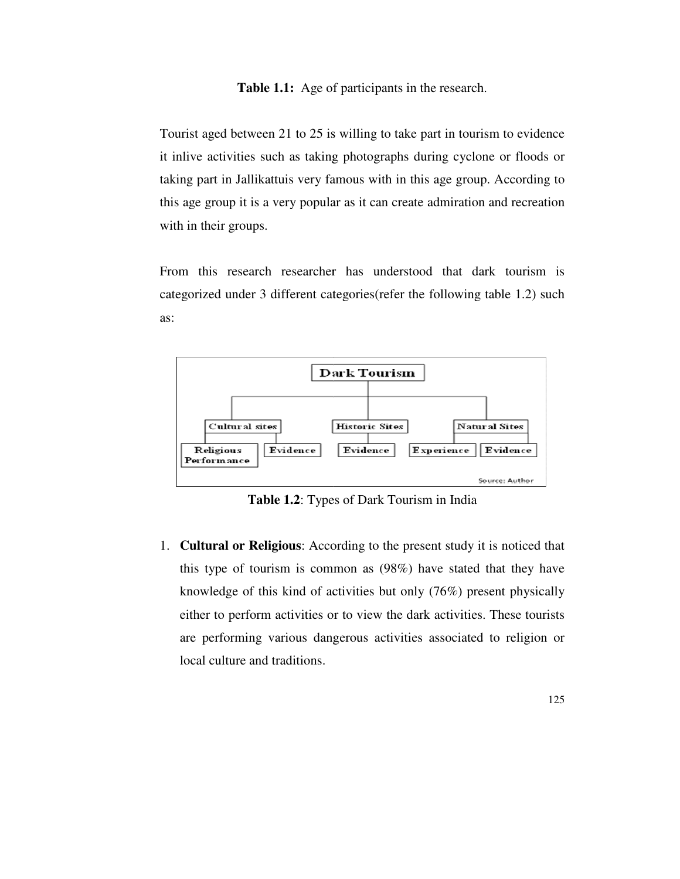#### **Table 1.1:** Age of participants in the research.

Tourist aged between 21 to 25 is willing to take part in tourism to evidence it inlive activities such as taking photographs during cyclone or floods or Tourist aged between 21 to 25 is willing to take part in tourism to evidence<br>it inlive activities such as taking photographs during cyclone or floods or<br>taking part in Jallikattuis very famous with in this age group. Accor this age group it is a very popular as it can create admiration and recreation with in their groups.

From this research researcher has understood that dark tourism is categorized under 3 different categories(refer the following table 1.2) such as:



**Table 1.2**: Types of Dark Tourism in India

1. **Cultural or Religious**: According to the present study it is noticed that this type of tourism is common as (98%) have stated that they have knowledge of this kind of activities but only (76%) present physically either to perform activities or to view the dark activities. These tourists are performing various dangerous activities associated to religion or local culture and traditions. this type of tourism is common as (98%) have stated that they have<br>knowledge of this kind of activities but only (76%) present physically<br>either to perform activities or to view the dark activities. These tourists<br>are perf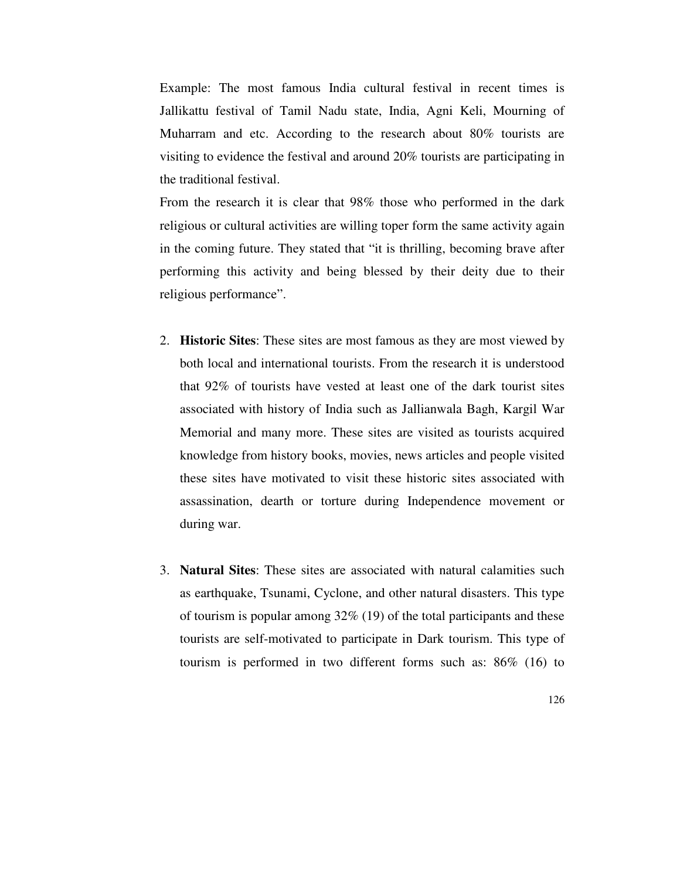Example: The most famous India cultural festival in recent times is Jallikattu festival of Tamil Nadu state, India, Agni Keli, Mourning of Muharram and etc. According to the research about 80% tourists are visiting to evidence the festival and around 20% tourists are participating in the traditional festival.

From the research it is clear that 98% those who performed in the dark religious or cultural activities are willing toper form the same activity again in the coming future. They stated that "it is thrilling, becoming brave after performing this activity and being blessed by their deity due to their religious performance".

- 2. **Historic Sites**: These sites are most famous as they are most viewed by both local and international tourists. From the research it is understood that 92% of tourists have vested at least one of the dark tourist sites associated with history of India such as Jallianwala Bagh, Kargil War Memorial and many more. These sites are visited as tourists acquired knowledge from history books, movies, news articles and people visited these sites have motivated to visit these historic sites associated with assassination, dearth or torture during Independence movement or during war.
- 3. **Natural Sites**: These sites are associated with natural calamities such as earthquake, Tsunami, Cyclone, and other natural disasters. This type of tourism is popular among 32% (19) of the total participants and these tourists are self-motivated to participate in Dark tourism. This type of tourism is performed in two different forms such as: 86% (16) to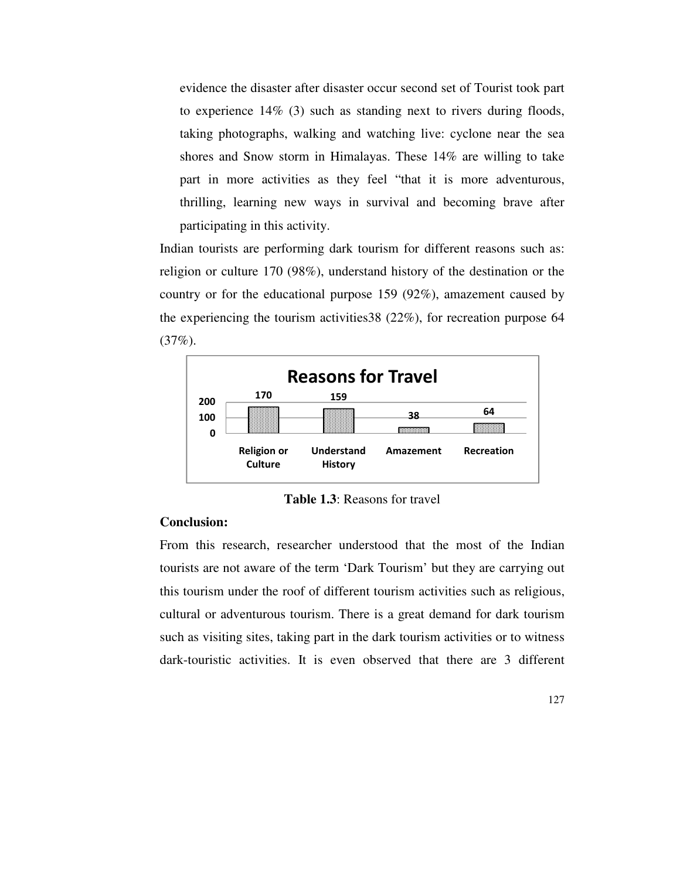evidence the disaster after disaster occur second set of Tourist took part to experience 14% (3) such as standing next to rivers during floods, taking photographs, walking and watching live: cyclone near the sea shores and Snow storm in Himalayas. These 14% are willing to take part in more activities as they feel "that it is more adventurous, thrilling, learning new ways in survival and becoming brave after participating in this activity.

Indian tourists are performing dark tourism for different reasons such as: religion or culture 170 (98%), understand history of the destination or the country or for the educational purpose 159 (92%), amazement caused by the experiencing the tourism activities38 (22%), for recreation purpose 64 (37%).



**Table 1.3**: Reasons for travel

#### **Conclusion:**

From this research, researcher understood that the most of the Indian tourists are not aware of the term 'Dark Tourism' but they are carrying out this tourism under the roof of different tourism activities such as religious, cultural or adventurous tourism. There is a great demand for dark tourism such as visiting sites, taking part in the dark tourism activities or to witness dark-touristic activities. It is even observed that there are 3 different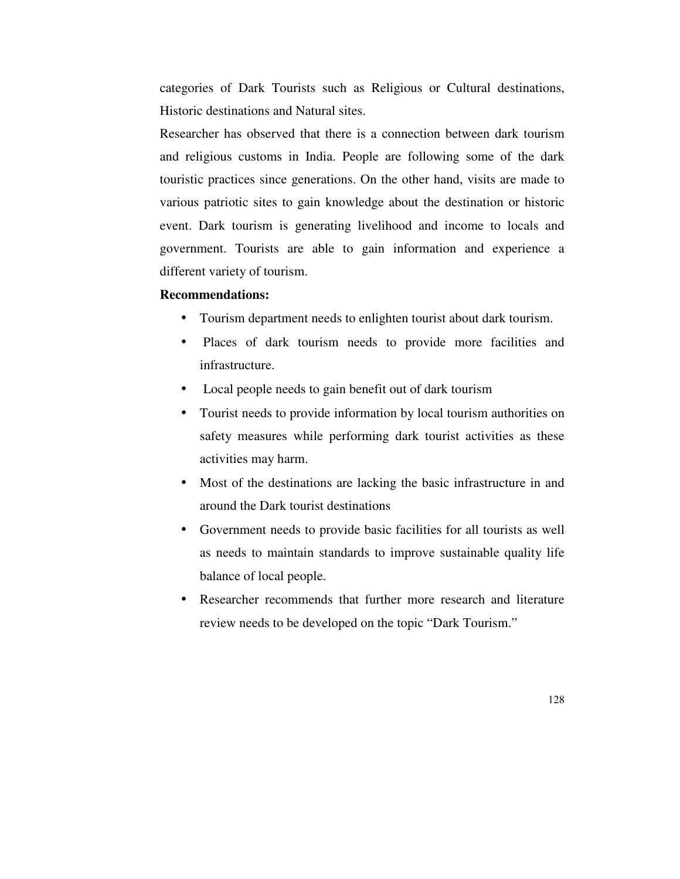categories of Dark Tourists such as Religious or Cultural destinations, Historic destinations and Natural sites.

Researcher has observed that there is a connection between dark tourism and religious customs in India. People are following some of the dark touristic practices since generations. On the other hand, visits are made to various patriotic sites to gain knowledge about the destination or historic event. Dark tourism is generating livelihood and income to locals and government. Tourists are able to gain information and experience a different variety of tourism.

#### **Recommendations:**

- Tourism department needs to enlighten tourist about dark tourism.
- Places of dark tourism needs to provide more facilities and infrastructure.
- Local people needs to gain benefit out of dark tourism
- Tourist needs to provide information by local tourism authorities on safety measures while performing dark tourist activities as these activities may harm.
- Most of the destinations are lacking the basic infrastructure in and around the Dark tourist destinations
- Government needs to provide basic facilities for all tourists as well as needs to maintain standards to improve sustainable quality life balance of local people.
- Researcher recommends that further more research and literature review needs to be developed on the topic "Dark Tourism."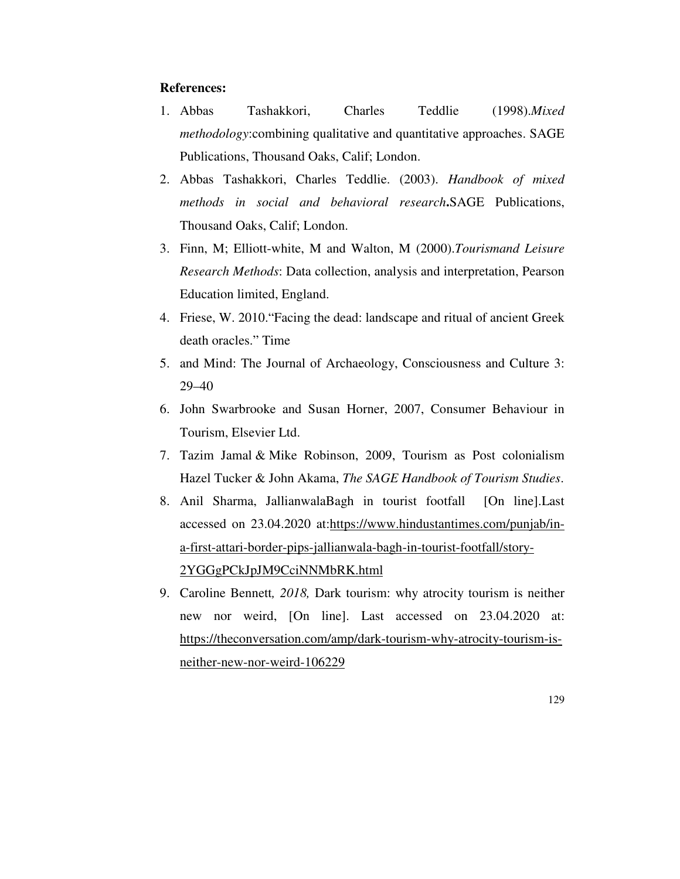#### **References:**

- 1. Abbas Tashakkori, Charles Teddlie (1998).*Mixed methodology*:combining qualitative and quantitative approaches . SAGE Publications, Thousand Oaks, Calif; London.
- 2. Abbas Tashakkori, Charles Teddlie. (2003). *Handbook of mixed methods in social and behavioral research***.**SAGE Publications, Thousand Oaks, Calif; London.
- 3. Finn, M; Elliott-white, M and Walton, M (2000).*Tourismand Leisure Research Methods*: Data collection, analysis and interpretation, Pearson Education limited, England.
- 4. Friese, W. 2010."Facing the dead: landscape and ritual of ancient Greek death oracles." Time
- 5. and Mind: The Journal of Archaeology, Consciousness and Culture 3: 29–40
- 6. John Swarbrooke and Susan Horner, 2007, Consumer Behaviour in Tourism, Elsevier Ltd.
- 7. Tazim Jamal & Mike Robinson, 2009, Tourism as Post colonialism Hazel Tucker & John Akama, *The SAGE Handbook of Tourism Studies*.
- 8. Anil Sharma, JallianwalaBagh in tourist footfall [On line].Last accessed on 23.04.2020 at:https://www.hindustantimes.com/punjab/ina-first-attari-border-pips-jallianwala-bagh-in-tourist-footfall/story-2YGGgPCkJpJM9CciNNMbRK.html
- 9. Caroline Bennett*, 2018,* Dark tourism: why atrocity tourism is neither new nor weird, [On line]. Last accessed on 23.04.2020 at: https://theconversation.com/amp/dark-tourism-why-atrocity-tourism-isneither-new-nor-weird-106229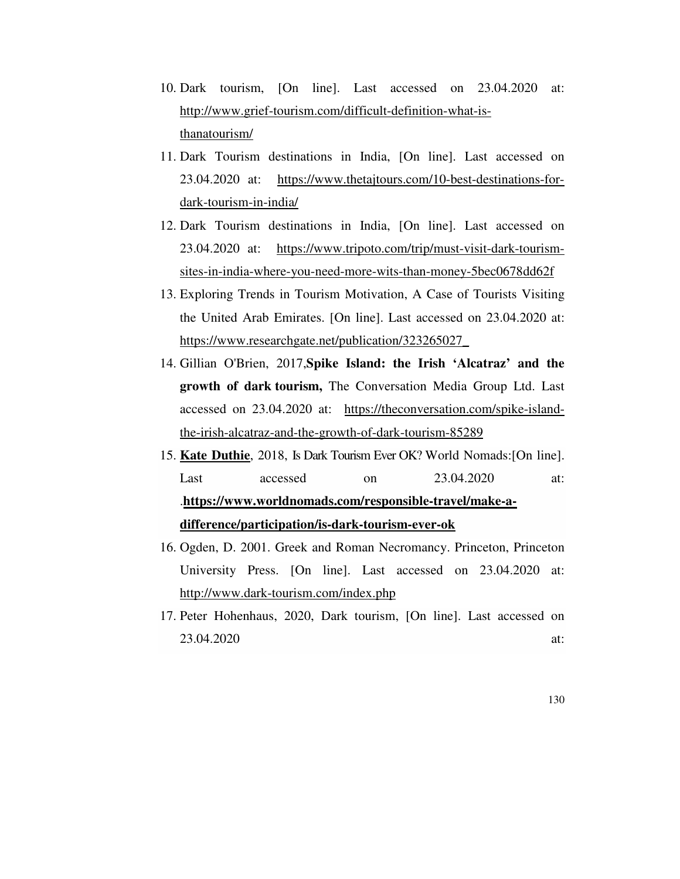- 10. Dark tourism, [On line]. Last accessed on 23.04.2020 at: http://www.grief-tourism.com/difficult-definition-what-isthanatourism/
- 11. Dark Tourism destinations in India, [On line]. Last accessed on 23.04.2020 at: https://www.thetajtours.com/10-best-destinations-fordark-tourism-in-india/
- 12. Dark Tourism destinations in India, [On line]. Last accessed on 23.04.2020 at: https://www.tripoto.com/trip/must-visit-dark-tourismsites-in-india-where-you-need-more-wits-than-money-5bec0678dd62f
- 13. Exploring Trends in Tourism Motivation, A Case of Tourists Visiting the United Arab Emirates. [On line]. Last accessed on 23.04.2020 at: https://www.researchgate.net/publication/323265027\_
- 14. Gillian O'Brien, 2017,**Spike Island: the Irish 'Alcatraz' and the growth of dark tourism,** The Conversation Media Group Ltd. Last accessed on 23.04.2020 at: https://theconversation.com/spike-islandthe-irish-alcatraz-and-the-growth-of-dark-tourism-85289
- 15. **Kate Duthie**, 2018, Is Dark Tourism Ever OK? World Nomads:[On line]. Last accessed on 23.04.2020 at: .**https://www.worldnomads.com/responsible-travel/make-adifference/participation/is-dark-tourism-ever-ok**
- 16. Ogden, D. 2001. Greek and Roman Necromancy. Princeton, Princeton University Press. [On line]. Last accessed on 23.04.2020 at: http://www.dark-tourism.com/index.php
- 17. Peter Hohenhaus, 2020, Dark tourism, [On line]. Last accessed on 23.04.2020 at: